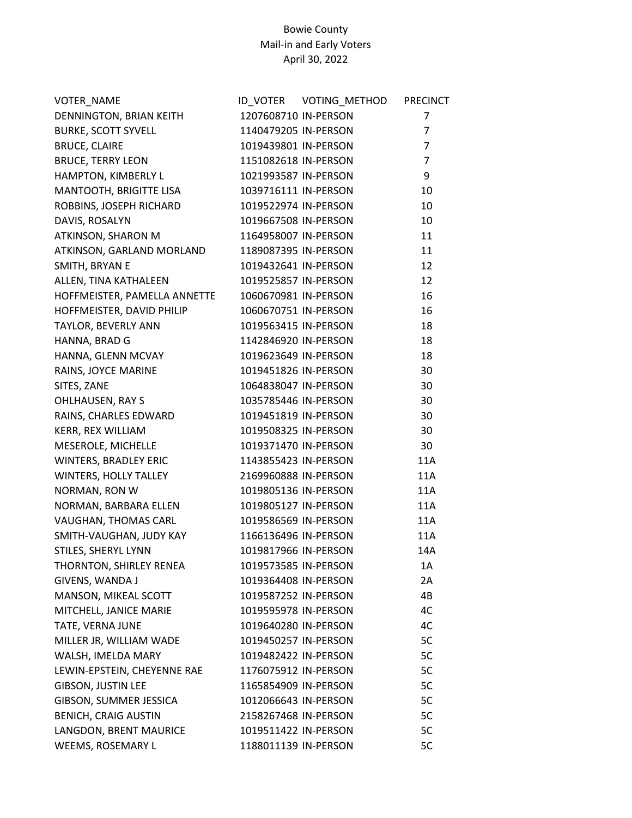## Bowie County Mail-in and Early Voters April 30, 2022

| <b>VOTER NAME</b>              |                      | <b>PRECINCT</b> |
|--------------------------------|----------------------|-----------------|
| <b>DENNINGTON, BRIAN KEITH</b> | 1207608710 IN-PERSON | 7               |
| <b>BURKE, SCOTT SYVELL</b>     | 1140479205 IN-PERSON | $\overline{7}$  |
| <b>BRUCE, CLAIRE</b>           | 1019439801 IN-PERSON | $\overline{7}$  |
| <b>BRUCE, TERRY LEON</b>       | 1151082618 IN-PERSON | $\overline{7}$  |
| HAMPTON, KIMBERLY L            | 1021993587 IN-PERSON | 9               |
| MANTOOTH, BRIGITTE LISA        | 1039716111 IN-PERSON | 10              |
| ROBBINS, JOSEPH RICHARD        | 1019522974 IN-PERSON | 10              |
| DAVIS, ROSALYN                 | 1019667508 IN-PERSON | 10              |
| ATKINSON, SHARON M             | 1164958007 IN-PERSON | 11              |
| ATKINSON, GARLAND MORLAND      | 1189087395 IN-PERSON | 11              |
| SMITH, BRYAN E                 | 1019432641 IN-PERSON | 12              |
| ALLEN, TINA KATHALEEN          | 1019525857 IN-PERSON | 12              |
| HOFFMEISTER, PAMELLA ANNETTE   | 1060670981 IN-PERSON | 16              |
| HOFFMEISTER, DAVID PHILIP      | 1060670751 IN-PERSON | 16              |
| TAYLOR, BEVERLY ANN            | 1019563415 IN-PERSON | 18              |
| HANNA, BRAD G                  | 1142846920 IN-PERSON | 18              |
| HANNA, GLENN MCVAY             | 1019623649 IN-PERSON | 18              |
| RAINS, JOYCE MARINE            | 1019451826 IN-PERSON | 30              |
| SITES, ZANE                    | 1064838047 IN-PERSON | 30              |
| <b>OHLHAUSEN, RAY S</b>        | 1035785446 IN-PERSON | 30              |
| RAINS, CHARLES EDWARD          | 1019451819 IN-PERSON | 30              |
| KERR, REX WILLIAM              | 1019508325 IN-PERSON | 30              |
| MESEROLE, MICHELLE             | 1019371470 IN-PERSON | 30              |
| <b>WINTERS, BRADLEY ERIC</b>   | 1143855423 IN-PERSON | 11A             |
| WINTERS, HOLLY TALLEY          | 2169960888 IN-PERSON | 11A             |
| NORMAN, RON W                  | 1019805136 IN-PERSON | 11A             |
| NORMAN, BARBARA ELLEN          | 1019805127 IN-PERSON | 11A             |
| VAUGHAN, THOMAS CARL           | 1019586569 IN-PERSON | 11A             |
| SMITH-VAUGHAN, JUDY KAY        | 1166136496 IN-PERSON | 11A             |
| STILES, SHERYL LYNN            | 1019817966 IN-PERSON | 14A             |
| THORNTON, SHIRLEY RENEA        | 1019573585 IN-PERSON | 1A              |
| GIVENS, WANDA J                | 1019364408 IN-PERSON | 2A              |
| MANSON, MIKEAL SCOTT           | 1019587252 IN-PERSON | 4B              |
| MITCHELL, JANICE MARIE         | 1019595978 IN-PERSON | 4C              |
| TATE, VERNA JUNE               | 1019640280 IN-PERSON | 4C              |
| MILLER JR, WILLIAM WADE        | 1019450257 IN-PERSON | 5C              |
| WALSH, IMELDA MARY             | 1019482422 IN-PERSON | 5C              |
| LEWIN-EPSTEIN, CHEYENNE RAE    | 1176075912 IN-PERSON | 5C              |
| <b>GIBSON, JUSTIN LEE</b>      | 1165854909 IN-PERSON | 5C              |
| GIBSON, SUMMER JESSICA         | 1012066643 IN-PERSON | 5C              |
| <b>BENICH, CRAIG AUSTIN</b>    | 2158267468 IN-PERSON | 5C              |
| LANGDON, BRENT MAURICE         | 1019511422 IN-PERSON | 5C              |
| WEEMS, ROSEMARY L              | 1188011139 IN-PERSON | 5C              |